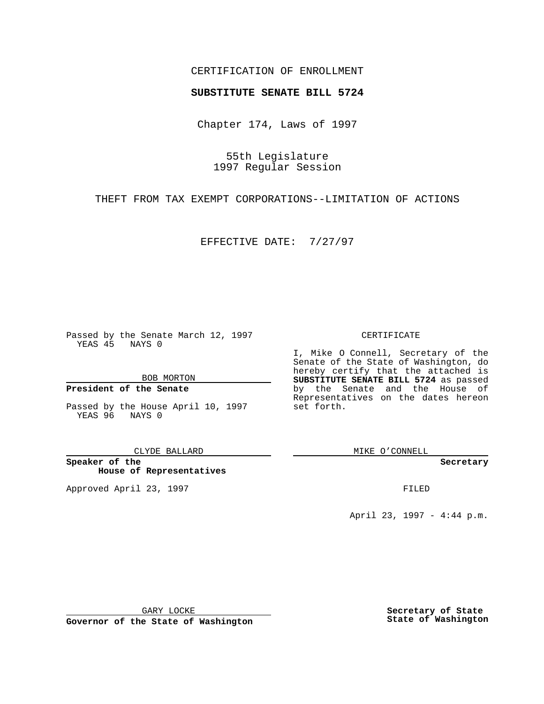## CERTIFICATION OF ENROLLMENT

# **SUBSTITUTE SENATE BILL 5724**

Chapter 174, Laws of 1997

55th Legislature 1997 Regular Session

THEFT FROM TAX EXEMPT CORPORATIONS--LIMITATION OF ACTIONS

EFFECTIVE DATE: 7/27/97

Passed by the Senate March 12, 1997 YEAS 45 NAYS 0

BOB MORTON

### **President of the Senate**

Passed by the House April 10, 1997 YEAS 96 NAYS 0

CLYDE BALLARD

**Speaker of the House of Representatives**

Approved April 23, 1997 **FILED** 

#### CERTIFICATE

I, Mike O Connell, Secretary of the Senate of the State of Washington, do hereby certify that the attached is **SUBSTITUTE SENATE BILL 5724** as passed by the Senate and the House of Representatives on the dates hereon set forth.

MIKE O'CONNELL

**Secretary**

April 23, 1997 - 4:44 p.m.

GARY LOCKE

**Governor of the State of Washington**

**Secretary of State State of Washington**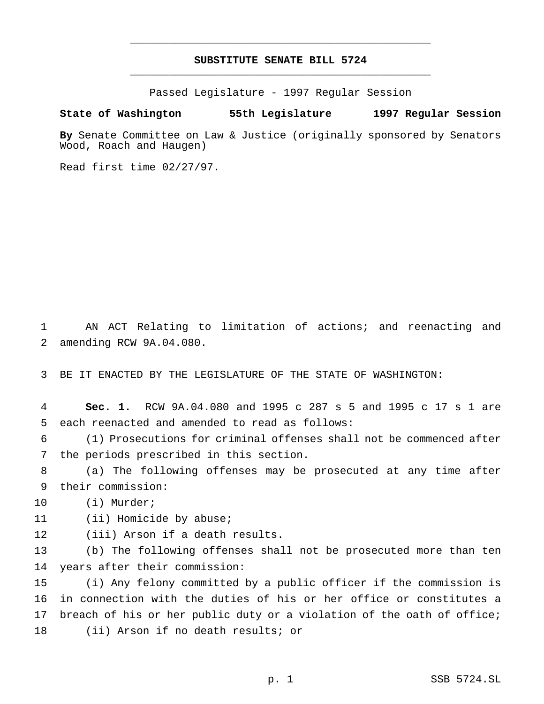## **SUBSTITUTE SENATE BILL 5724** \_\_\_\_\_\_\_\_\_\_\_\_\_\_\_\_\_\_\_\_\_\_\_\_\_\_\_\_\_\_\_\_\_\_\_\_\_\_\_\_\_\_\_\_\_\_\_

\_\_\_\_\_\_\_\_\_\_\_\_\_\_\_\_\_\_\_\_\_\_\_\_\_\_\_\_\_\_\_\_\_\_\_\_\_\_\_\_\_\_\_\_\_\_\_

Passed Legislature - 1997 Regular Session

### **State of Washington 55th Legislature 1997 Regular Session**

**By** Senate Committee on Law & Justice (originally sponsored by Senators Wood, Roach and Haugen)

Read first time 02/27/97.

 AN ACT Relating to limitation of actions; and reenacting and amending RCW 9A.04.080.

BE IT ENACTED BY THE LEGISLATURE OF THE STATE OF WASHINGTON:

 **Sec. 1.** RCW 9A.04.080 and 1995 c 287 s 5 and 1995 c 17 s 1 are each reenacted and amended to read as follows:

 (1) Prosecutions for criminal offenses shall not be commenced after the periods prescribed in this section.

 (a) The following offenses may be prosecuted at any time after their commission:

(i) Murder;

11 (ii) Homicide by abuse;

(iii) Arson if a death results.

 (b) The following offenses shall not be prosecuted more than ten years after their commission:

 (i) Any felony committed by a public officer if the commission is in connection with the duties of his or her office or constitutes a breach of his or her public duty or a violation of the oath of office; (ii) Arson if no death results; or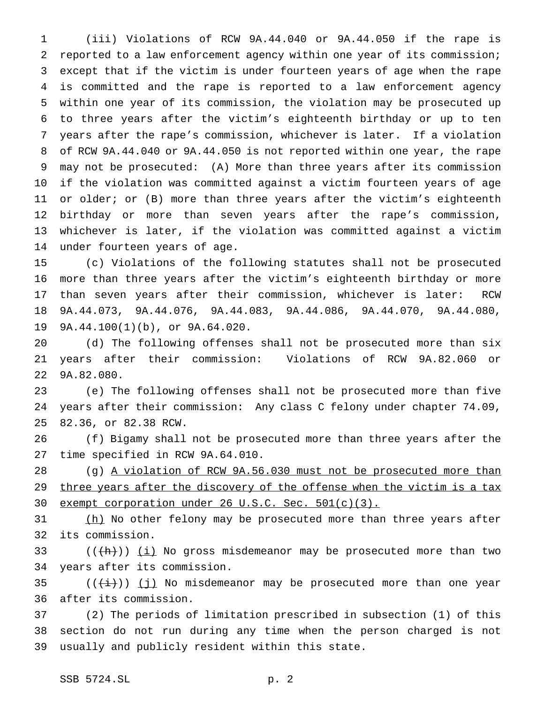(iii) Violations of RCW 9A.44.040 or 9A.44.050 if the rape is reported to a law enforcement agency within one year of its commission; except that if the victim is under fourteen years of age when the rape is committed and the rape is reported to a law enforcement agency within one year of its commission, the violation may be prosecuted up to three years after the victim's eighteenth birthday or up to ten years after the rape's commission, whichever is later. If a violation of RCW 9A.44.040 or 9A.44.050 is not reported within one year, the rape may not be prosecuted: (A) More than three years after its commission if the violation was committed against a victim fourteen years of age 11 or older; or (B) more than three years after the victim's eighteenth birthday or more than seven years after the rape's commission, whichever is later, if the violation was committed against a victim under fourteen years of age.

 (c) Violations of the following statutes shall not be prosecuted more than three years after the victim's eighteenth birthday or more than seven years after their commission, whichever is later: RCW 9A.44.073, 9A.44.076, 9A.44.083, 9A.44.086, 9A.44.070, 9A.44.080, 9A.44.100(1)(b), or 9A.64.020.

 (d) The following offenses shall not be prosecuted more than six years after their commission: Violations of RCW 9A.82.060 or 9A.82.080.

 (e) The following offenses shall not be prosecuted more than five years after their commission: Any class C felony under chapter 74.09, 82.36, or 82.38 RCW.

 (f) Bigamy shall not be prosecuted more than three years after the time specified in RCW 9A.64.010.

 (g) A violation of RCW 9A.56.030 must not be prosecuted more than 29 three years after the discovery of the offense when the victim is a tax exempt corporation under 26 U.S.C. Sec. 501(c)(3).

31 (h) No other felony may be prosecuted more than three years after its commission.

33 ( $(\hat{h})$ ) (i) No gross misdemeanor may be prosecuted more than two years after its commission.

 $((\overleftrightarrow{t}))(\overrightarrow{jj})$  No misdemeanor may be prosecuted more than one year after its commission.

 (2) The periods of limitation prescribed in subsection (1) of this section do not run during any time when the person charged is not usually and publicly resident within this state.